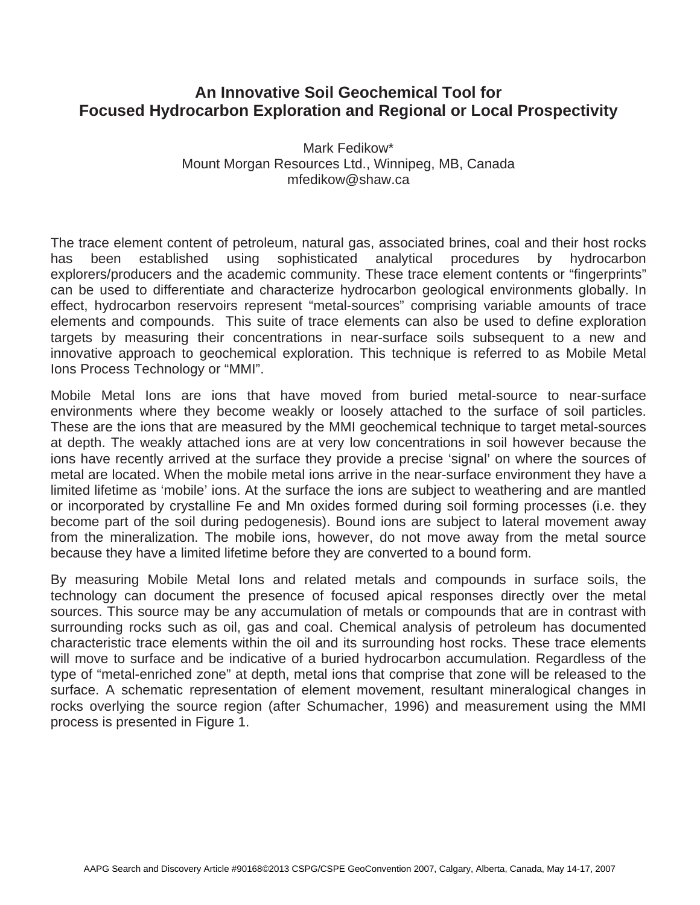# **An Innovative Soil Geochemical Tool for Focused Hydrocarbon Exploration and Regional or Local Prospectivity**

Mark Fedikow\* Mount Morgan Resources Ltd., Winnipeg, MB, Canada mfedikow@shaw.ca

The trace element content of petroleum, natural gas, associated brines, coal and their host rocks has been established using sophisticated analytical procedures by hydrocarbon explorers/producers and the academic community. These trace element contents or "fingerprints" can be used to differentiate and characterize hydrocarbon geological environments globally. In effect, hydrocarbon reservoirs represent "metal-sources" comprising variable amounts of trace elements and compounds. This suite of trace elements can also be used to define exploration targets by measuring their concentrations in near-surface soils subsequent to a new and innovative approach to geochemical exploration. This technique is referred to as Mobile Metal Ions Process Technology or "MMI".

Mobile Metal Ions are ions that have moved from buried metal-source to near-surface environments where they become weakly or loosely attached to the surface of soil particles. These are the ions that are measured by the MMI geochemical technique to target metal-sources at depth. The weakly attached ions are at very low concentrations in soil however because the ions have recently arrived at the surface they provide a precise 'signal' on where the sources of metal are located. When the mobile metal ions arrive in the near-surface environment they have a limited lifetime as 'mobile' ions. At the surface the ions are subject to weathering and are mantled or incorporated by crystalline Fe and Mn oxides formed during soil forming processes (i.e. they become part of the soil during pedogenesis). Bound ions are subject to lateral movement away from the mineralization. The mobile ions, however, do not move away from the metal source because they have a limited lifetime before they are converted to a bound form.

By measuring Mobile Metal Ions and related metals and compounds in surface soils, the technology can document the presence of focused apical responses directly over the metal sources. This source may be any accumulation of metals or compounds that are in contrast with surrounding rocks such as oil, gas and coal. Chemical analysis of petroleum has documented characteristic trace elements within the oil and its surrounding host rocks. These trace elements will move to surface and be indicative of a buried hydrocarbon accumulation. Regardless of the type of "metal-enriched zone" at depth, metal ions that comprise that zone will be released to the surface. A schematic representation of element movement, resultant mineralogical changes in rocks overlying the source region (after Schumacher, 1996) and measurement using the MMI process is presented in Figure 1.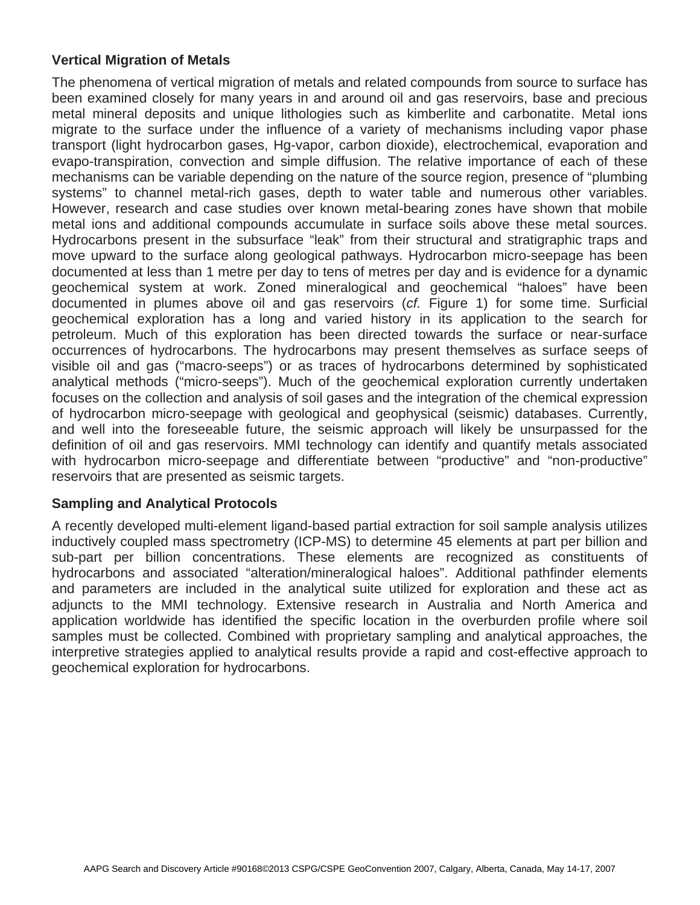# **Vertical Migration of Metals**

The phenomena of vertical migration of metals and related compounds from source to surface has been examined closely for many years in and around oil and gas reservoirs, base and precious metal mineral deposits and unique lithologies such as kimberlite and carbonatite. Metal ions migrate to the surface under the influence of a variety of mechanisms including vapor phase transport (light hydrocarbon gases, Hg-vapor, carbon dioxide), electrochemical, evaporation and evapo-transpiration, convection and simple diffusion. The relative importance of each of these mechanisms can be variable depending on the nature of the source region, presence of "plumbing systems" to channel metal-rich gases, depth to water table and numerous other variables. However, research and case studies over known metal-bearing zones have shown that mobile metal ions and additional compounds accumulate in surface soils above these metal sources. Hydrocarbons present in the subsurface "leak" from their structural and stratigraphic traps and move upward to the surface along geological pathways. Hydrocarbon micro-seepage has been documented at less than 1 metre per day to tens of metres per day and is evidence for a dynamic geochemical system at work. Zoned mineralogical and geochemical "haloes" have been documented in plumes above oil and gas reservoirs (*cf.* Figure 1) for some time. Surficial geochemical exploration has a long and varied history in its application to the search for petroleum. Much of this exploration has been directed towards the surface or near-surface occurrences of hydrocarbons. The hydrocarbons may present themselves as surface seeps of visible oil and gas ("macro-seeps") or as traces of hydrocarbons determined by sophisticated analytical methods ("micro-seeps"). Much of the geochemical exploration currently undertaken focuses on the collection and analysis of soil gases and the integration of the chemical expression of hydrocarbon micro-seepage with geological and geophysical (seismic) databases. Currently, and well into the foreseeable future, the seismic approach will likely be unsurpassed for the definition of oil and gas reservoirs. MMI technology can identify and quantify metals associated with hydrocarbon micro-seepage and differentiate between "productive" and "non-productive" reservoirs that are presented as seismic targets.

# **Sampling and Analytical Protocols**

A recently developed multi-element ligand-based partial extraction for soil sample analysis utilizes inductively coupled mass spectrometry (ICP-MS) to determine 45 elements at part per billion and sub-part per billion concentrations. These elements are recognized as constituents of hydrocarbons and associated "alteration/mineralogical haloes". Additional pathfinder elements and parameters are included in the analytical suite utilized for exploration and these act as adjuncts to the MMI technology. Extensive research in Australia and North America and application worldwide has identified the specific location in the overburden profile where soil samples must be collected. Combined with proprietary sampling and analytical approaches, the interpretive strategies applied to analytical results provide a rapid and cost-effective approach to geochemical exploration for hydrocarbons.